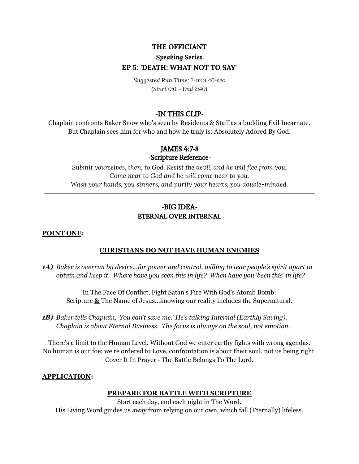# **THE OFFICIANT**

# **-***Speaking Series-***EP 5**: **'DEATH: WHAT NOT TO SAY'**

*Suggested Run Time: 2-min 40-sec (Start 0:0 ~ End 2:40)*

# -IN THIS CLIP-

Chaplain confronts Baker Snow who's seen by Residents & Staff as a budding Evil Incarnate. But Chaplain sees him for who and how he truly is: Absolutely Adored By God.

# JAMES 4:7-8

#### -Scripture Reference-

*Submit yourselves, then, to God. Resist the devil, and he will flee from you. Come near to God and he will come near to you. Wash your hands, you sinners, and purify your hearts, you double-minded.*

# -BIG IDEA-ETERNAL OVER INTERNAL

#### **POINT ONE:**

#### **CHRISTIANS DO NOT HAVE HUMAN ENEMIES**

*1A) Baker is overrun by desire...for power and control, willing to tear people's spirit apart to obtain and keep it. Where have you seen this in life? When have you 'been this' in life?*

In The Face Of Conflict, Fight Satan's Fire With God's Atomb Bomb: Scripture **&** The Name of Jesus...knowing our reality includes the Supernatural.

*1B) Baker tells Chaplain, 'You can't save me.' He's talking Internal (Earthly Saving). Chaplain is about Eternal Business. The focus is always on the soul, not emotion.*

There's a limit to the Human Level. Without God we enter earthy fights with wrong agendas. No human is our foe; we're ordered to Love, confrontation is about their soul, not us being right. Cover It In Prayer - The Battle Belongs To The Lord.

#### **APPLICATION:**

## **PREPARE FOR BATTLE WITH SCRIPTURE**

Start each day, end each night in The Word. His Living Word guides us away from relying on our own, which fall (Eternally) lifeless.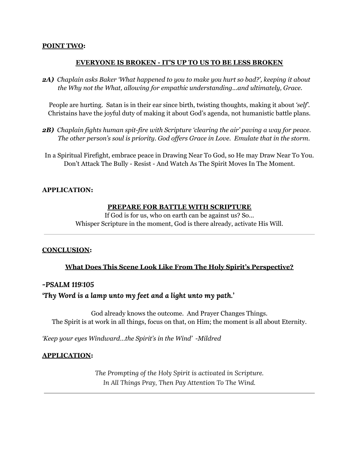#### **POINT TWO:**

### **EVERYONE IS BROKEN - IT'S UP TO US TO BE LESS BROKEN**

*2A) Chaplain asks Baker 'What happened to you to make you hurt so bad?', keeping it about the Why not the What, allowing for empathic understanding...and ultimately, Grace.*

People are hurting. Satan is in their ear since birth, twisting thoughts, making it about *'self'*. Christains have the joyful duty of making it about God's agenda, not humanistic battle plans.

- *2B) Chaplain fights human spit-fire with Scripture 'clearing the air' paving a way for peace. The other person's soul is priority. God of ers Grace in Love. Emulate that in the storm.*
- In a Spiritual Firefight, embrace peace in Drawing Near To God, so He may Draw Near To You. Don't Attack The Bully - Resist - And Watch As The Spirit Moves In The Moment.

### **APPLICATION:**

#### **PREPARE FOR BATTLE WITH SCRIPTURE**

If God is for us, who on earth can be against us? So... Whisper Scripture in the moment, God is there already, activate His Will.

#### **CONCLUSION:**

## **What Does This Scene Look Like From The Holy Spirit's Perspective?**

#### *-PSALM 119:105*

## *'Thy Word is a lamp unto my feet and a light unto my path.'*

God already knows the outcome. And Prayer Changes Things. The Spirit is at work in all things, focus on that, on Him; the moment is all about Eternity.

*'Keep your eyes Windward…the Spirit's in the Wind' -Mildred*

#### **APPLICATION:**

*The Prompting of the Holy Spirit is activated in Scripture. In All Things Pray, Then Pay Attention To The Wind.*